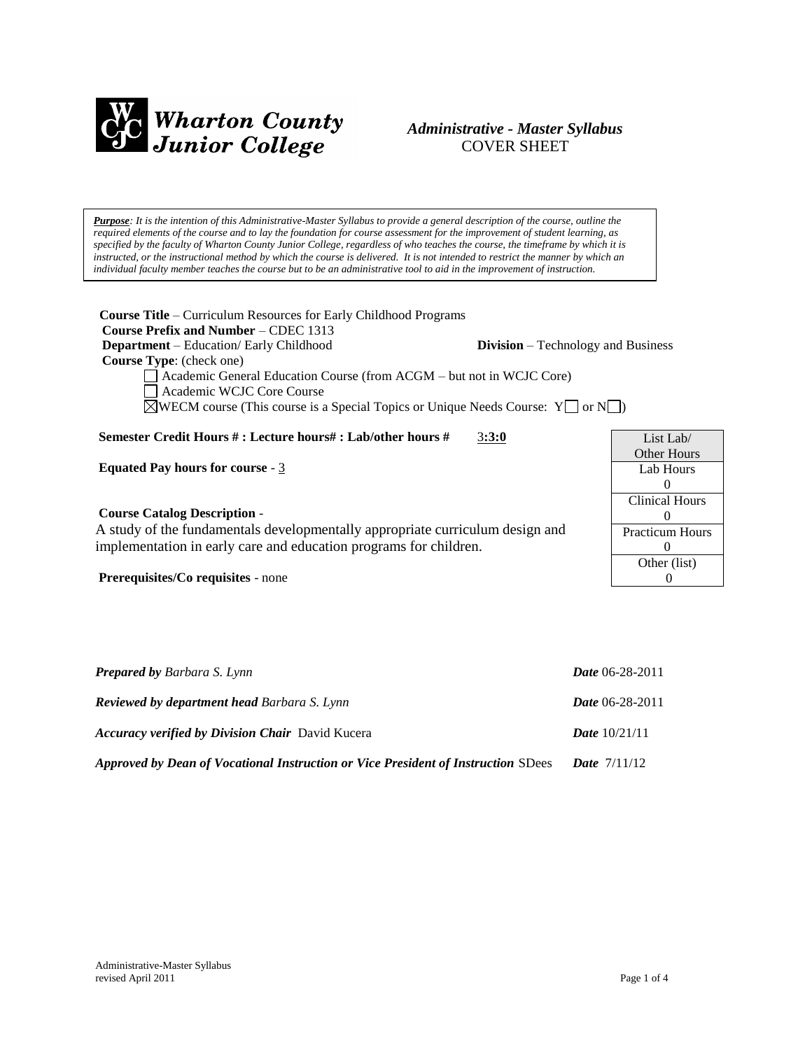

## *Administrative - Master Syllabus*  COVER SHEET

*Purpose: It is the intention of this Administrative-Master Syllabus to provide a general description of the course, outline the required elements of the course and to lay the foundation for course assessment for the improvement of student learning, as specified by the faculty of Wharton County Junior College, regardless of who teaches the course, the timeframe by which it is instructed, or the instructional method by which the course is delivered. It is not intended to restrict the manner by which an individual faculty member teaches the course but to be an administrative tool to aid in the improvement of instruction.*

| <b>Course Title</b> – Curriculum Resources for Early Childhood Programs<br><b>Course Prefix and Number – CDEC 1313</b><br><b>Department</b> – Education/ Early Childhood<br><b>Division</b> – Technology and Business<br><b>Course Type:</b> (check one)<br>Academic General Education Course (from ACGM – but not in WCJC Core)<br>Academic WCJC Core Course<br>$\Diamond$ WECM course (This course is a Special Topics or Unique Needs Course: Y   or N   ) |                                                                                            |
|---------------------------------------------------------------------------------------------------------------------------------------------------------------------------------------------------------------------------------------------------------------------------------------------------------------------------------------------------------------------------------------------------------------------------------------------------------------|--------------------------------------------------------------------------------------------|
| Semester Credit Hours # : Lecture hours# : Lab/other hours #<br>3:3:0<br><b>Equated Pay hours for course - 3</b>                                                                                                                                                                                                                                                                                                                                              | List Lab $\sqrt$<br><b>Other Hours</b><br>Lab Hours                                        |
| <b>Course Catalog Description -</b><br>A study of the fundamentals developmentally appropriate curriculum design and<br>implementation in early care and education programs for children.<br><b>Prerequisites/Co requisites - none</b>                                                                                                                                                                                                                        | $\theta$<br><b>Clinical Hours</b><br>0<br><b>Practicum Hours</b><br>0<br>Other (list)<br>0 |

| <b>Prepared by Barbara S. Lynn</b>                                                | <b>Date 06-28-2011</b> |
|-----------------------------------------------------------------------------------|------------------------|
| <b>Reviewed by department head Barbara S. Lynn</b>                                | <b>Date</b> 06-28-2011 |
| <b>Accuracy verified by Division Chair</b> David Kucera                           | <b>Date</b> $10/21/11$ |
| Approved by Dean of Vocational Instruction or Vice President of Instruction SDees | <b>Date</b> $7/11/12$  |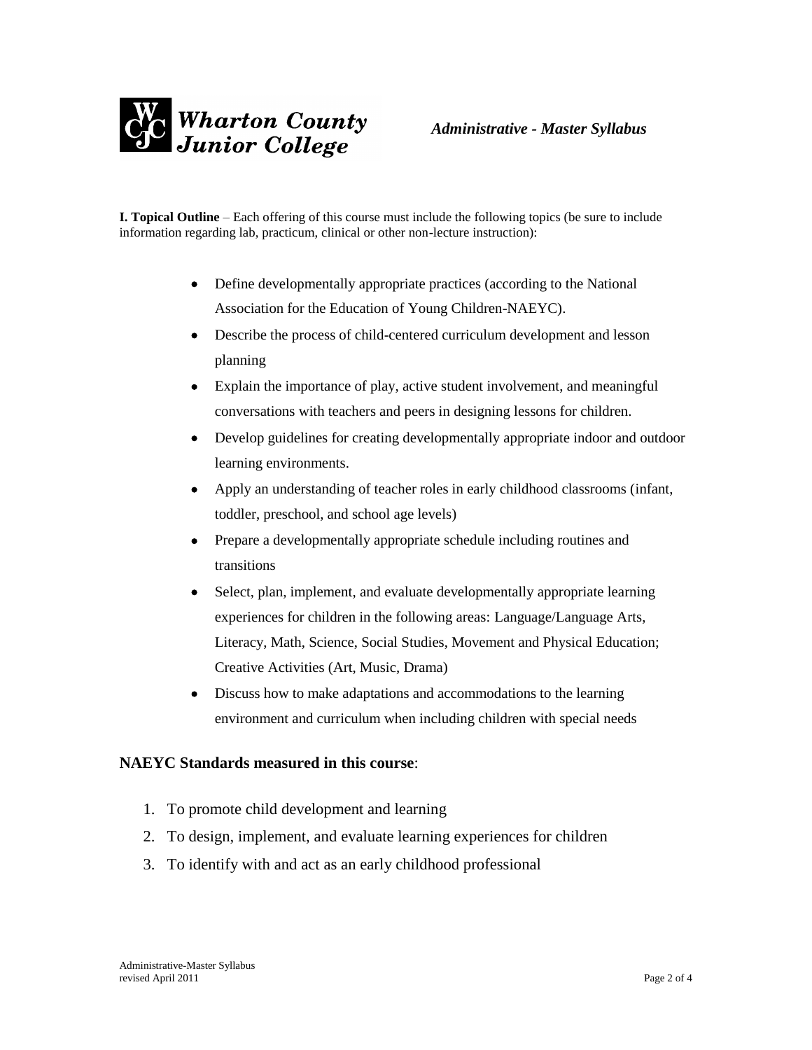

**I. Topical Outline** – Each offering of this course must include the following topics (be sure to include information regarding lab, practicum, clinical or other non-lecture instruction):

- Define developmentally appropriate practices (according to the National Association for the Education of Young Children-NAEYC).
- Describe the process of child-centered curriculum development and lesson planning
- Explain the importance of play, active student involvement, and meaningful conversations with teachers and peers in designing lessons for children.
- Develop guidelines for creating developmentally appropriate indoor and outdoor learning environments.
- Apply an understanding of teacher roles in early childhood classrooms (infant, toddler, preschool, and school age levels)
- Prepare a developmentally appropriate schedule including routines and transitions
- Select, plan, implement, and evaluate developmentally appropriate learning experiences for children in the following areas: Language/Language Arts, Literacy, Math, Science, Social Studies, Movement and Physical Education; Creative Activities (Art, Music, Drama)
- Discuss how to make adaptations and accommodations to the learning environment and curriculum when including children with special needs

# **NAEYC Standards measured in this course**:

- 1. To promote child development and learning
- 2. To design, implement, and evaluate learning experiences for children
- 3. To identify with and act as an early childhood professional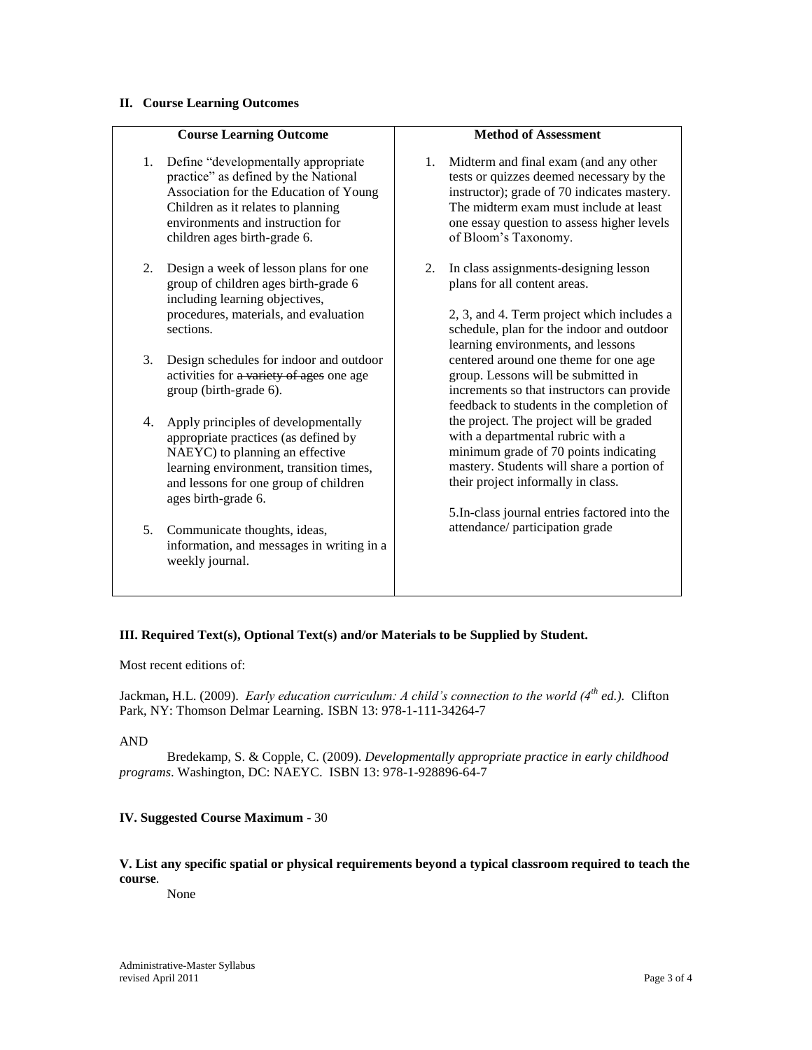#### **II. Course Learning Outcomes**

### **Course Learning Outcome**

- 1. Define "developmentally appropriate practice" as defined by the National Association for the Education of Young Children as it relates to planning environments and instruction for children ages birth-grade 6.
- 2. Design a week of lesson plans for one group of children ages birth-grade 6 including learning objectives, procedures, materials, and evaluation sections.
- 3. Design schedules for indoor and outdoor activities for a variety of ages one age group (birth-grade 6).
- 4. Apply principles of developmentally appropriate practices (as defined by NAEYC) to planning an effective learning environment, transition times, and lessons for one group of children ages birth-grade 6.
- 5. Communicate thoughts, ideas, information, and messages in writing in a weekly journal.

#### **Method of Assessment**

- 1. Midterm and final exam (and any other tests or quizzes deemed necessary by the instructor); grade of 70 indicates mastery. The midterm exam must include at least one essay question to assess higher levels of Bloom's Taxonomy.
- 2. In class assignments-designing lesson plans for all content areas.

2, 3, and 4. Term project which includes a schedule, plan for the indoor and outdoor learning environments, and lessons centered around one theme for one age group. Lessons will be submitted in increments so that instructors can provide feedback to students in the completion of the project. The project will be graded with a departmental rubric with a minimum grade of 70 points indicating mastery. Students will share a portion of their project informally in class.

5.In-class journal entries factored into the attendance/ participation grade

## **III. Required Text(s), Optional Text(s) and/or Materials to be Supplied by Student.**

Most recent editions of:

Jackman**,** H.L. (2009). *Early education curriculum: A child's connection to the world (4th ed.).* Clifton Park, NY: Thomson Delmar Learning. ISBN 13: 978-1-111-34264-7

#### AND

Bredekamp, S. & Copple, C. (2009). *Developmentally appropriate practice in early childhood programs*. Washington, DC: NAEYC. ISBN 13: 978-1-928896-64-7

### **IV. Suggested Course Maximum** - 30

**V. List any specific spatial or physical requirements beyond a typical classroom required to teach the course**.

None